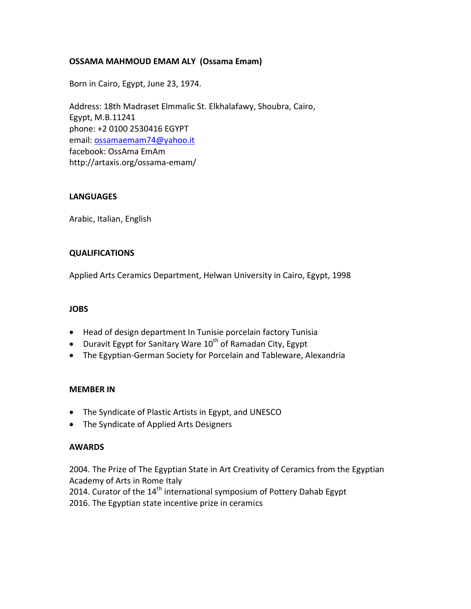## **OSSAMA MAHMOUD EMAM ALY (Ossama Emam)**

Born in Cairo, Egypt, June 23, 1974.

Address: 18th Madraset Elmmalic St. Elkhalafawy, Shoubra, Cairo, Egypt, M.B.11241 phone: +2 0100 2530416 EGYPT email: [ossamaemam74@yahoo.it](mailto:ossamaemam74@yahoo.it)  facebook: OssAma EmAm http://artaxis.org/ossama-emam/

### **LANGUAGES**

Arabic, Italian, English

### **QUALIFICATIONS**

Applied Arts Ceramics Department, Helwan University in Cairo, Egypt, 1998

#### **JOBS**

- Head of design department In Tunisie porcelain factory Tunisia
- Duravit Egypt for Sanitary Ware  $10^{th}$  of Ramadan City, Egypt
- The Egyptian-German Society for Porcelain and Tableware, Alexandria

#### **MEMBER IN**

- The Syndicate of Plastic Artists in Egypt, and UNESCO
- The Syndicate of Applied Arts Designers

#### **AWARDS**

2004. The Prize of The Egyptian State in Art Creativity of Ceramics from the Egyptian Academy of Arts in Rome Italy

2014. Curator of the 14<sup>th</sup> international symposium of Pottery Dahab Egypt

2016. The Egyptian state incentive prize in ceramics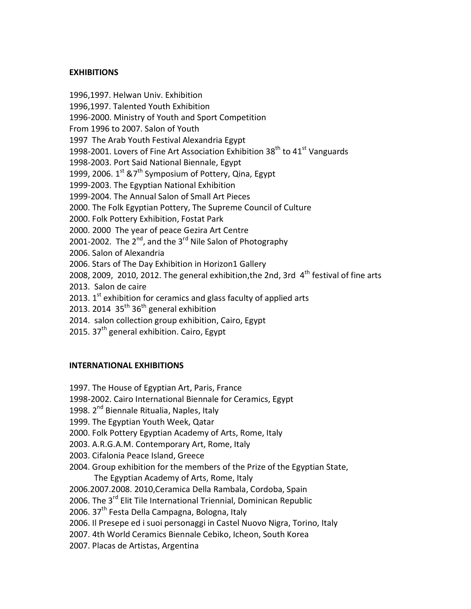## **EXHIBITIONS**

1996,1997. Helwan Univ. Exhibition 1996,1997. Talented Youth Exhibition 1996-2000. Ministry of Youth and Sport Competition From 1996 to 2007. Salon of Youth 1997 The Arab Youth Festival Alexandria Egypt 1998-2001. Lovers of Fine Art Association Exhibition  $38<sup>th</sup>$  to  $41<sup>st</sup>$  Vanguards 1998-2003. Port Said National Biennale, Egypt 1999, 2006.  $1^{st}$  & 7<sup>th</sup> Symposium of Pottery, Qina, Egypt 1999-2003. The Egyptian National Exhibition 1999-2004. The Annual Salon of Small Art Pieces 2000. The Folk Egyptian Pottery, The Supreme Council of Culture 2000. Folk Pottery Exhibition, Fostat Park 2000. 2000 The year of peace Gezira Art Centre 2001-2002. The  $2^{nd}$ , and the  $3^{rd}$  Nile Salon of Photography 2006. Salon of Alexandria 2006. Stars of The Day Exhibition in Horizon1 Gallery 2008, 2009, 2010, 2012. The general exhibition, the 2nd, 3rd  $4<sup>th</sup>$  festival of fine arts 2013. Salon de caire 2013.  $1<sup>st</sup>$  exhibition for ceramics and glass faculty of applied arts 2013. 2014  $35<sup>th</sup>$  36<sup>th</sup> general exhibition 2014. salon collection group exhibition, Cairo, Egypt 2015.  $37<sup>th</sup>$  general exhibition. Cairo, Egypt

# **INTERNATIONAL EXHIBITIONS**

- 1997. The House of Egyptian Art, Paris, France
- 1998-2002. Cairo International Biennale for Ceramics, Egypt
- 1998. 2<sup>nd</sup> Biennale Ritualia, Naples, Italy
- 1999. The Egyptian Youth Week, Qatar
- 2000. Folk Pottery Egyptian Academy of Arts, Rome, Italy
- 2003. A.R.G.A.M. Contemporary Art, Rome, Italy
- 2003. Cifalonia Peace Island, Greece
- 2004. Group exhibition for the members of the Prize of the Egyptian State, The Egyptian Academy of Arts, Rome, Italy
- 2006.2007.2008. 2010,Ceramica Della Rambala, Cordoba, Spain
- 2006. The 3<sup>rd</sup> Elit Tile International Triennial, Dominican Republic
- 2006. 37<sup>th</sup> Festa Della Campagna, Bologna, Italy
- 2006. Il Presepe ed i suoi personaggi in Castel Nuovo Nigra, Torino, Italy
- 2007. 4th World Ceramics Biennale Cebiko, Icheon, South Korea
- 2007. Placas de Artistas, Argentina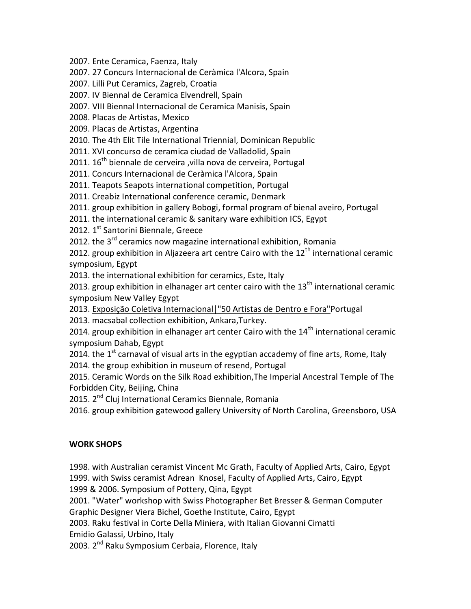2007. Ente Ceramica, Faenza, Italy

2007. 27 Concurs Internacional de Ceràmica l'Alcora, Spain

2007. Lilli Put Ceramics, Zagreb, Croatia

2007. IV Biennal de Ceramica Elvendrell, Spain

2007. VIII Biennal Internacional de Ceramica Manisis, Spain

2008. Placas de Artistas, Mexico

2009. Placas de Artistas, Argentina

2010. The 4th Elit Tile International Triennial, Dominican Republic

2011. XVI concurso de ceramica ciudad de Valladolid, Spain

2011. 16<sup>th</sup> biennale de cerveira , villa nova de cerveira, Portugal

2011. Concurs Internacional de Ceràmica l'Alcora, Spain

2011. Teapots Seapots international competition, Portugal

2011. Creabiz International conference ceramic, Denmark

2011. group exhibition in gallery Bobogi, formal program of bienal aveiro, Portugal

2011. the international ceramic & sanitary ware exhibition ICS, Egypt

2012. 1<sup>st</sup> Santorini Biennale, Greece

2012. the  $3^{rd}$  ceramics now magazine international exhibition, Romania

2012. group exhibition in Aljazeera art centre Cairo with the  $12<sup>th</sup>$  international ceramic symposium, Egypt

2013. the international exhibition for ceramics, Este, Italy

2013. group exhibition in elhanager art center cairo with the  $13<sup>th</sup>$  international ceramic symposium New Valley Egypt

2013. [Exposição Coletiva Internacional|"50 Artistas de Dentro e Fora"P](https://www.facebook.com/media/set/?set=a.641315959265020.1073741830.100001598659148&type=1)ortugal

2013. macsabal collection exhibition, Ankara,Turkey.

2014. group exhibition in elhanager art center Cairo with the  $14<sup>th</sup>$  international ceramic symposium Dahab, Egypt

2014. the  $1<sup>st</sup>$  carnaval of visual arts in the egyptian accademy of fine arts, Rome, Italy

2014. the group exhibition in museum of resend, Portugal

2015. Ceramic Words on the Silk Road exhibition,The Imperial Ancestral Temple of The Forbidden City, Beijing, China

2015. 2<sup>nd</sup> Cluj International Ceramics Biennale, Romania

2016. group exhibition gatewood gallery University of North Carolina, Greensboro, USA

# **WORK SHOPS**

1998. with Australian ceramist Vincent Mc Grath, Faculty of Applied Arts, Cairo, Egypt 1999. with Swiss ceramist Adrean Knosel, Faculty of Applied Arts, Cairo, Egypt 1999 & 2006. Symposium of Pottery, Qina, Egypt

2001. "Water" workshop with Swiss Photographer Bet Bresser & German Computer

Graphic Designer Viera Bichel, Goethe Institute, Cairo, Egypt

2003. Raku festival in Corte Della Miniera, with Italian Giovanni Cimatti

Emidio Galassi, Urbino, Italy

2003. 2<sup>nd</sup> Raku Symposium Cerbaia, Florence, Italy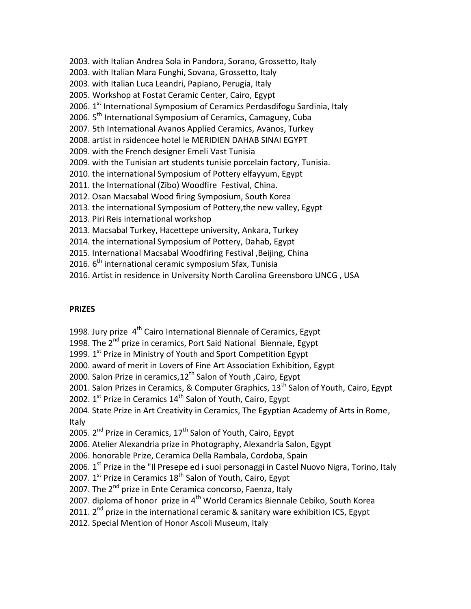2003. with Italian Andrea Sola in Pandora, Sorano, Grossetto, Italy 2003. with Italian Mara Funghi, Sovana, Grossetto, Italy 2003. with Italian Luca Leandri, Papiano, Perugia, Italy 2005. Workshop at Fostat Ceramic Center, Cairo, Egypt 2006.  $1<sup>st</sup>$  International Symposium of Ceramics Perdasdifogu Sardinia, Italy 2006. 5<sup>th</sup> International Symposium of Ceramics, Camaguey, Cuba 2007. 5th International Avanos Applied Ceramics, Avanos, Turkey 2008. artist in rsidencee hotel le MERIDIEN DAHAB SINAI EGYPT 2009. with the French designer Emeli Vast Tunisia 2009. with the Tunisian art students tunisie porcelain factory, Tunisia. 2010. the international Symposium of Pottery elfayyum, Egypt 2011. the International (Zibo) Woodfire Festival, China. 2012. Osan Macsabal Wood firing Symposium, South Korea 2013. the international Symposium of Pottery,the new valley, Egypt 2013. Piri Reis international workshop 2013. Macsabal Turkey, Hacettepe university, Ankara, Turkey 2014. the international Symposium of Pottery, Dahab, Egypt 2015. International Macsabal Woodfiring Festival ,Beijing, China

2016. 6<sup>th</sup> international ceramic symposium Sfax, Tunisia

2016. Artist in residence in University North Carolina Greensboro UNCG , USA

## **PRIZES**

1998. Jury prize  $4<sup>th</sup>$  Cairo International Biennale of Ceramics, Egypt

1998. The  $2^{nd}$  prize in ceramics, Port Said National Biennale, Egypt

1999. 1<sup>st</sup> Prize in Ministry of Youth and Sport Competition Egypt

2000. award of merit in Lovers of Fine Art Association Exhibition, Egypt

2000. Salon Prize in ceramics,  $12^{th}$  Salon of Youth , Cairo, Egypt

2001. Salon Prizes in Ceramics, & Computer Graphics,  $13<sup>th</sup>$  Salon of Youth, Cairo, Egypt

2002.  $1^{st}$  Prize in Ceramics  $14^{th}$  Salon of Youth, Cairo, Egypt

2004. State Prize in Art Creativity in Ceramics, The Egyptian Academy of Arts in Rome, Italy

2005.  $2^{nd}$  Prize in Ceramics,  $17^{th}$  Salon of Youth, Cairo, Egypt

2006. Atelier Alexandria prize in Photography, Alexandria Salon, Egypt

2006. honorable Prize, Ceramica Della Rambala, Cordoba, Spain

2006. 1<sup>st</sup> Prize in the "Il Presepe ed i suoi personaggi in Castel Nuovo Nigra, Torino, Italy

2007.  $1^{st}$  Prize in Ceramics  $18^{th}$  Salon of Youth, Cairo, Egypt

2007. The 2<sup>nd</sup> prize in Ente Ceramica concorso, Faenza, Italy

2007. diploma of honor prize in 4<sup>th</sup> World Ceramics Biennale Cebiko, South Korea

2011. 2<sup>nd</sup> prize in the international ceramic & sanitary ware exhibition ICS, Egypt

2012. Special Mention of Honor Ascoli Museum, Italy